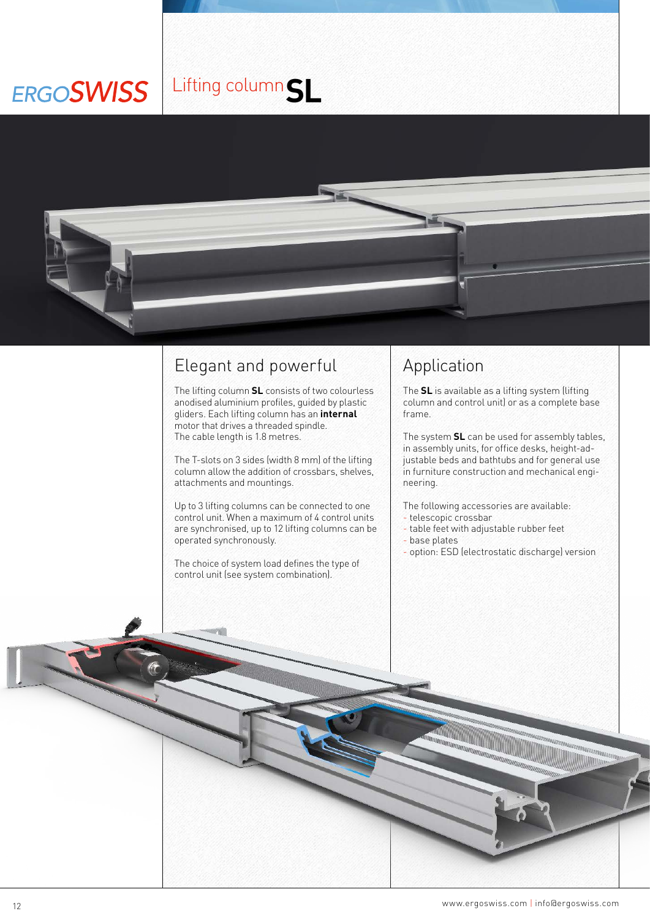## Lifting column**SLERGOSWISS**



## Elegant and powerful

The lifting column **SL** consists of two colourless anodised aluminium profiles, guided by plastic gliders. Each lifting column has an **internal**  motor that drives a threaded spindle. The cable length is 1.8 metres.

The T-slots on 3 sides (width 8 mm) of the lifting column allow the addition of crossbars, shelves, attachments and mountings.

Up to 3 lifting columns can be connected to one control unit. When a maximum of 4 control units are synchronised, up to 12 lifting columns can be operated synchronously.

The choice of system load defines the type of control unit (see system combination).

## Application

The **SL** is available as a lifting system (lifting column and control unit) or as a complete base frame.

The system **SL** can be used for assembly tables, in assembly units, for office desks, height-adjustable beds and bathtubs and for general use in furniture construction and mechanical engineering.

The following accessories are available:

- telescopic crossbar
- table feet with adjustable rubber feet

**ANTIQUE DE L'ANTIQUE DE L'ANTIQUE DE L'ANTIQUE DE L'ANTIQUE DE L'ANTIQUE DE L'ANTIQUE DE L'ANTIQUE DE L'ANTIQU<br>L'ANTIQUE DE L'ANTIQUE DE L'ANTIQUE DE L'ANTIQUE DE L'ANTIQUE DE L'ANTIQUE DE L'ANTIQUE DE L'ANTIQUE DE L'ANTI** 

- base plates
- option: ESD (electrostatic discharge) version